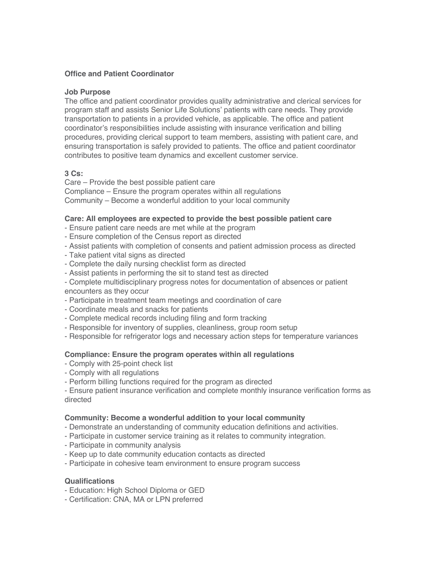# **Office and Patient Coordinator**

## **Job Purpose**

The office and patient coordinator provides quality administrative and clerical services for program staff and assists Senior Life Solutions' patients with care needs. They provide transportation to patients in a provided vehicle, as applicable. The office and patient coordinator's responsibilities include assisting with insurance verification and billing procedures, providing clerical support to team members, assisting with patient care, and ensuring transportation is safely provided to patients. The office and patient coordinator contributes to positive team dynamics and excellent customer service.

# **3 Cs:**

Care – Provide the best possible patient care Compliance – Ensure the program operates within all regulations Community – Become a wonderful addition to your local community

# **Care: All employees are expected to provide the best possible patient care**

- Ensure patient care needs are met while at the program
- Ensure completion of the Census report as directed
- Assist patients with completion of consents and patient admission process as directed
- Take patient vital signs as directed
- Complete the daily nursing checklist form as directed
- Assist patients in performing the sit to stand test as directed
- Complete multidisciplinary progress notes for documentation of absences or patient encounters as they occur
- Participate in treatment team meetings and coordination of care
- Coordinate meals and snacks for patients
- Complete medical records including filing and form tracking
- Responsible for inventory of supplies, cleanliness, group room setup
- Responsible for refrigerator logs and necessary action steps for temperature variances

## **Compliance: Ensure the program operates within all regulations**

- Comply with 25-point check list
- Comply with all regulations
- Perform billing functions required for the program as directed
- Ensure patient insurance verification and complete monthly insurance verification forms as directed

## **Community: Become a wonderful addition to your local community**

- Demonstrate an understanding of community education definitions and activities.
- Participate in customer service training as it relates to community integration.
- Participate in community analysis
- Keep up to date community education contacts as directed
- Participate in cohesive team environment to ensure program success

## **Qualifications**

- Education: High School Diploma or GED
- Certification: CNA, MA or LPN preferred